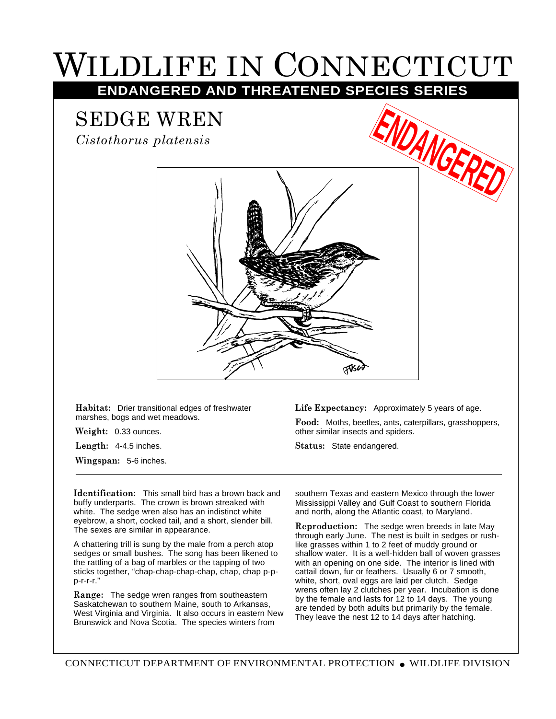## WILDLIFE IN CONNECTICUT

**ENDANGERED AND THREATENED SPECIES SERIES**

SEDGE WREN

*Cistothorus platensis*



**Habitat:** Drier transitional edges of freshwater marshes, bogs and wet meadows.

**Weight:** 0.33 ounces.

**Length:** 4-4.5 inches.

**Wingspan:** 5-6 inches.

**Life Expectancy:** Approximately 5 years of age.

**Food:** Moths, beetles, ants, caterpillars, grasshoppers, other similar insects and spiders.

**Status:** State endangered.

**Identification:** This small bird has a brown back and buffy underparts. The crown is brown streaked with white. The sedge wren also has an indistinct white eyebrow, a short, cocked tail, and a short, slender bill. The sexes are similar in appearance.

A chattering trill is sung by the male from a perch atop sedges or small bushes. The song has been likened to the rattling of a bag of marbles or the tapping of two sticks together, "chap-chap-chap-chap, chap, chap p-pp-r-r-r."

**Range:** The sedge wren ranges from southeastern Saskatchewan to southern Maine, south to Arkansas, West Virginia and Virginia. It also occurs in eastern New Brunswick and Nova Scotia. The species winters from

southern Texas and eastern Mexico through the lower Mississippi Valley and Gulf Coast to southern Florida and north, along the Atlantic coast, to Maryland.

**Reproduction:** The sedge wren breeds in late May through early June. The nest is built in sedges or rushlike grasses within 1 to 2 feet of muddy ground or shallow water. It is a well-hidden ball of woven grasses with an opening on one side. The interior is lined with cattail down, fur or feathers. Usually 6 or 7 smooth, white, short, oval eggs are laid per clutch. Sedge wrens often lay 2 clutches per year. Incubation is done by the female and lasts for 12 to 14 days. The young are tended by both adults but primarily by the female. They leave the nest 12 to 14 days after hatching.

CONNECTICUT DEPARTMENT OF ENVIRONMENTAL PROTECTION ● WILDLIFE DIVISION